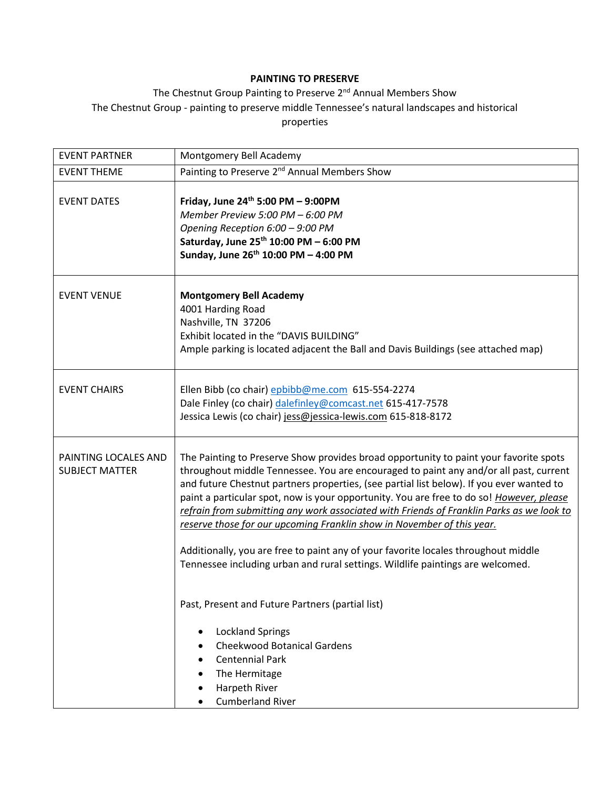## **PAINTING TO PRESERVE**

## The Chestnut Group Painting to Preserve 2<sup>nd</sup> Annual Members Show The Chestnut Group - painting to preserve middle Tennessee's natural landscapes and historical properties

| <b>EVENT PARTNER</b>                          | Montgomery Bell Academy                                                                                                                                                                                                                                                                                                                                                                                                                                                                                                                                                                                                                                                                                                                                                  |
|-----------------------------------------------|--------------------------------------------------------------------------------------------------------------------------------------------------------------------------------------------------------------------------------------------------------------------------------------------------------------------------------------------------------------------------------------------------------------------------------------------------------------------------------------------------------------------------------------------------------------------------------------------------------------------------------------------------------------------------------------------------------------------------------------------------------------------------|
| <b>EVENT THEME</b>                            | Painting to Preserve 2 <sup>nd</sup> Annual Members Show                                                                                                                                                                                                                                                                                                                                                                                                                                                                                                                                                                                                                                                                                                                 |
| <b>EVENT DATES</b>                            | Friday, June 24th 5:00 PM - 9:00PM<br>Member Preview 5:00 PM - 6:00 PM<br>Opening Reception 6:00 - 9:00 PM<br>Saturday, June 25th 10:00 PM - 6:00 PM<br>Sunday, June 26th 10:00 PM - 4:00 PM                                                                                                                                                                                                                                                                                                                                                                                                                                                                                                                                                                             |
| <b>EVENT VENUE</b>                            | <b>Montgomery Bell Academy</b><br>4001 Harding Road<br>Nashville, TN 37206<br>Exhibit located in the "DAVIS BUILDING"<br>Ample parking is located adjacent the Ball and Davis Buildings (see attached map)                                                                                                                                                                                                                                                                                                                                                                                                                                                                                                                                                               |
| <b>EVENT CHAIRS</b>                           | Ellen Bibb (co chair) epbibb@me.com 615-554-2274<br>Dale Finley (co chair) dalefinley@comcast.net 615-417-7578<br>Jessica Lewis (co chair) jess@jessica-lewis.com 615-818-8172                                                                                                                                                                                                                                                                                                                                                                                                                                                                                                                                                                                           |
| PAINTING LOCALES AND<br><b>SUBJECT MATTER</b> | The Painting to Preserve Show provides broad opportunity to paint your favorite spots<br>throughout middle Tennessee. You are encouraged to paint any and/or all past, current<br>and future Chestnut partners properties, (see partial list below). If you ever wanted to<br>paint a particular spot, now is your opportunity. You are free to do so! However, please<br>refrain from submitting any work associated with Friends of Franklin Parks as we look to<br>reserve those for our upcoming Franklin show in November of this year.<br>Additionally, you are free to paint any of your favorite locales throughout middle<br>Tennessee including urban and rural settings. Wildlife paintings are welcomed.<br>Past, Present and Future Partners (partial list) |
|                                               | <b>Lockland Springs</b><br>٠<br><b>Cheekwood Botanical Gardens</b><br>$\bullet$<br><b>Centennial Park</b><br>The Hermitage<br>Harpeth River<br>$\bullet$<br><b>Cumberland River</b>                                                                                                                                                                                                                                                                                                                                                                                                                                                                                                                                                                                      |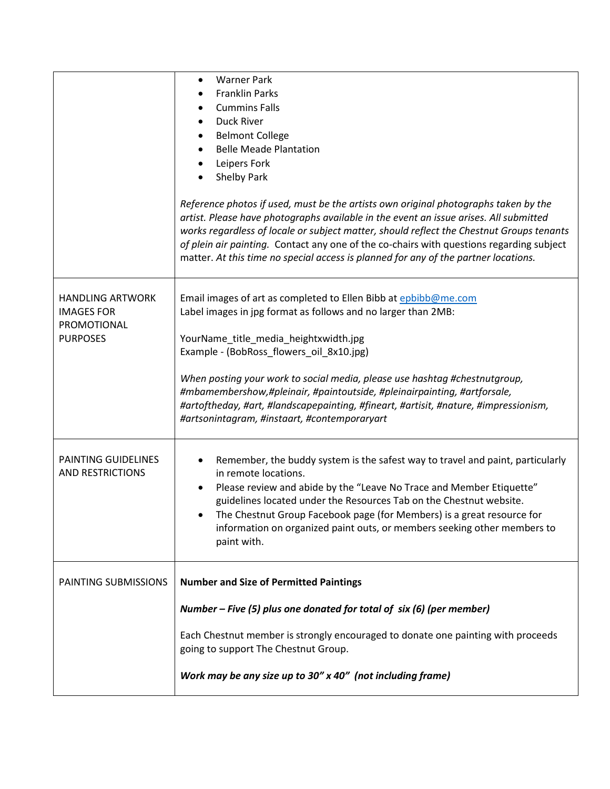|                                                                                | <b>Warner Park</b><br>$\bullet$<br><b>Franklin Parks</b><br><b>Cummins Falls</b><br>Duck River<br><b>Belmont College</b><br><b>Belle Meade Plantation</b><br>Leipers Fork<br>Shelby Park<br>Reference photos if used, must be the artists own original photographs taken by the<br>artist. Please have photographs available in the event an issue arises. All submitted<br>works regardless of locale or subject matter, should reflect the Chestnut Groups tenants<br>of plein air painting. Contact any one of the co-chairs with questions regarding subject<br>matter. At this time no special access is planned for any of the partner locations. |
|--------------------------------------------------------------------------------|---------------------------------------------------------------------------------------------------------------------------------------------------------------------------------------------------------------------------------------------------------------------------------------------------------------------------------------------------------------------------------------------------------------------------------------------------------------------------------------------------------------------------------------------------------------------------------------------------------------------------------------------------------|
| <b>HANDLING ARTWORK</b><br><b>IMAGES FOR</b><br>PROMOTIONAL<br><b>PURPOSES</b> | Email images of art as completed to Ellen Bibb at epbibb@me.com<br>Label images in jpg format as follows and no larger than 2MB:<br>YourName_title_media_heightxwidth.jpg<br>Example - (BobRoss_flowers_oil_8x10.jpg)<br>When posting your work to social media, please use hashtag #chestnutgroup,<br>#mbamembershow,#pleinair, #paintoutside, #pleinairpainting, #artforsale,<br>#artoftheday, #art, #landscapepainting, #fineart, #artisit, #nature, #impressionism,<br>#artsonintagram, #instaart, #contemporaryart                                                                                                                                 |
| PAINTING GUIDELINES<br><b>AND RESTRICTIONS</b>                                 | Remember, the buddy system is the safest way to travel and paint, particularly<br>in remote locations.<br>Please review and abide by the "Leave No Trace and Member Etiquette"<br>$\bullet$<br>guidelines located under the Resources Tab on the Chestnut website.<br>The Chestnut Group Facebook page (for Members) is a great resource for<br>information on organized paint outs, or members seeking other members to<br>paint with.                                                                                                                                                                                                                 |
| PAINTING SUBMISSIONS                                                           | <b>Number and Size of Permitted Paintings</b><br>Number – Five (5) plus one donated for total of six (6) (per member)<br>Each Chestnut member is strongly encouraged to donate one painting with proceeds<br>going to support The Chestnut Group.<br>Work may be any size up to 30" x 40" (not including frame)                                                                                                                                                                                                                                                                                                                                         |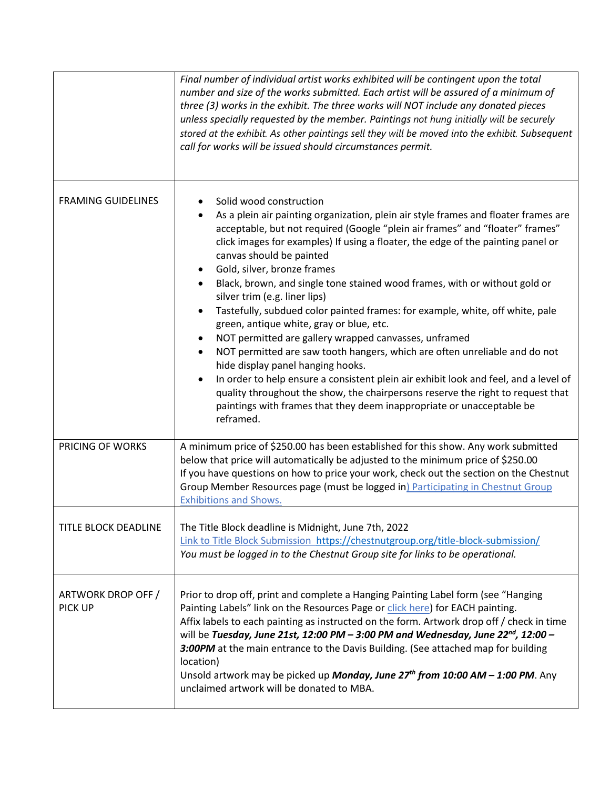|                               | Final number of individual artist works exhibited will be contingent upon the total<br>number and size of the works submitted. Each artist will be assured of a minimum of<br>three (3) works in the exhibit. The three works will NOT include any donated pieces<br>unless specially requested by the member. Paintings not hung initially will be securely<br>stored at the exhibit. As other paintings sell they will be moved into the exhibit. Subsequent<br>call for works will be issued should circumstances permit.                                                                                                                                                                                                                                                                                                                                                                                                                                                                                                            |
|-------------------------------|-----------------------------------------------------------------------------------------------------------------------------------------------------------------------------------------------------------------------------------------------------------------------------------------------------------------------------------------------------------------------------------------------------------------------------------------------------------------------------------------------------------------------------------------------------------------------------------------------------------------------------------------------------------------------------------------------------------------------------------------------------------------------------------------------------------------------------------------------------------------------------------------------------------------------------------------------------------------------------------------------------------------------------------------|
| <b>FRAMING GUIDELINES</b>     | Solid wood construction<br>As a plein air painting organization, plein air style frames and floater frames are<br>acceptable, but not required (Google "plein air frames" and "floater" frames"<br>click images for examples) If using a floater, the edge of the painting panel or<br>canvas should be painted<br>Gold, silver, bronze frames<br>Black, brown, and single tone stained wood frames, with or without gold or<br>silver trim (e.g. liner lips)<br>Tastefully, subdued color painted frames: for example, white, off white, pale<br>green, antique white, gray or blue, etc.<br>NOT permitted are gallery wrapped canvasses, unframed<br>NOT permitted are saw tooth hangers, which are often unreliable and do not<br>hide display panel hanging hooks.<br>In order to help ensure a consistent plein air exhibit look and feel, and a level of<br>quality throughout the show, the chairpersons reserve the right to request that<br>paintings with frames that they deem inappropriate or unacceptable be<br>reframed. |
| PRICING OF WORKS              | A minimum price of \$250.00 has been established for this show. Any work submitted<br>below that price will automatically be adjusted to the minimum price of \$250.00<br>If you have questions on how to price your work, check out the section on the Chestnut<br>Group Member Resources page (must be logged in) Participating in Chestnut Group<br><b>Exhibitions and Shows.</b>                                                                                                                                                                                                                                                                                                                                                                                                                                                                                                                                                                                                                                                    |
| TITLE BLOCK DEADLINE          | The Title Block deadline is Midnight, June 7th, 2022<br>Link to Title Block Submission https://chestnutgroup.org/title-block-submission/<br>You must be logged in to the Chestnut Group site for links to be operational.                                                                                                                                                                                                                                                                                                                                                                                                                                                                                                                                                                                                                                                                                                                                                                                                               |
| ARTWORK DROP OFF /<br>PICK UP | Prior to drop off, print and complete a Hanging Painting Label form (see "Hanging<br>Painting Labels" link on the Resources Page or click here) for EACH painting.<br>Affix labels to each painting as instructed on the form. Artwork drop off / check in time<br>will be Tuesday, June 21st, 12:00 PM - 3:00 PM and Wednesday, June 22 <sup>nd</sup> , 12:00 -<br>3:00PM at the main entrance to the Davis Building. (See attached map for building<br>location)<br>Unsold artwork may be picked up <b>Monday, June 27th from 10:00 AM - 1:00 PM</b> . Any<br>unclaimed artwork will be donated to MBA.                                                                                                                                                                                                                                                                                                                                                                                                                               |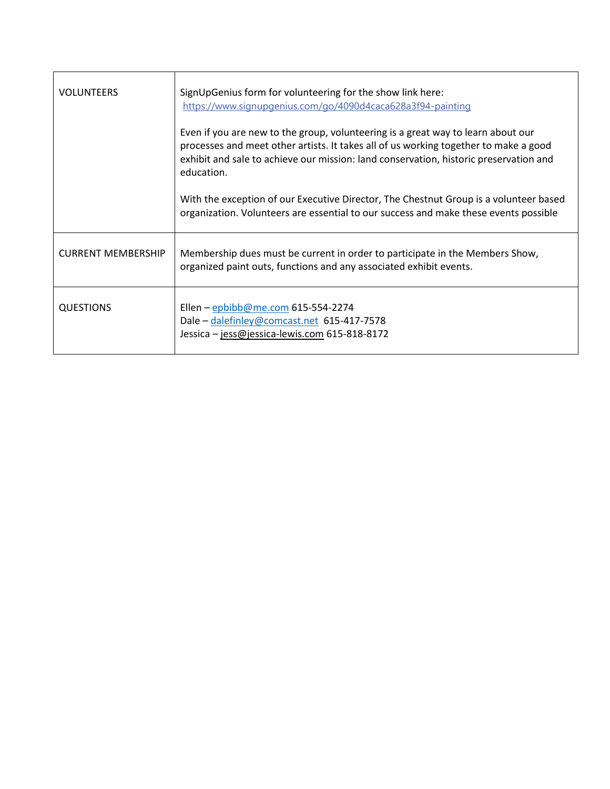| <b>VOLUNTEERS</b>         | SignUpGenius form for volunteering for the show link here:<br>https://www.signupgenius.com/go/4090d4caca628a3f94-painting                                                                                                                                                       |
|---------------------------|---------------------------------------------------------------------------------------------------------------------------------------------------------------------------------------------------------------------------------------------------------------------------------|
|                           | Even if you are new to the group, volunteering is a great way to learn about our<br>processes and meet other artists. It takes all of us working together to make a good<br>exhibit and sale to achieve our mission: land conservation, historic preservation and<br>education. |
|                           | With the exception of our Executive Director, The Chestnut Group is a volunteer based<br>organization. Volunteers are essential to our success and make these events possible                                                                                                   |
| <b>CURRENT MEMBERSHIP</b> | Membership dues must be current in order to participate in the Members Show,<br>organized paint outs, functions and any associated exhibit events.                                                                                                                              |
| QUESTIONS                 | Ellen - epbibb@me.com 615-554-2274<br>Dale - dalefinley@comcast.net 615-417-7578<br>Jessica - jess@jessica-lewis.com 615-818-8172                                                                                                                                               |